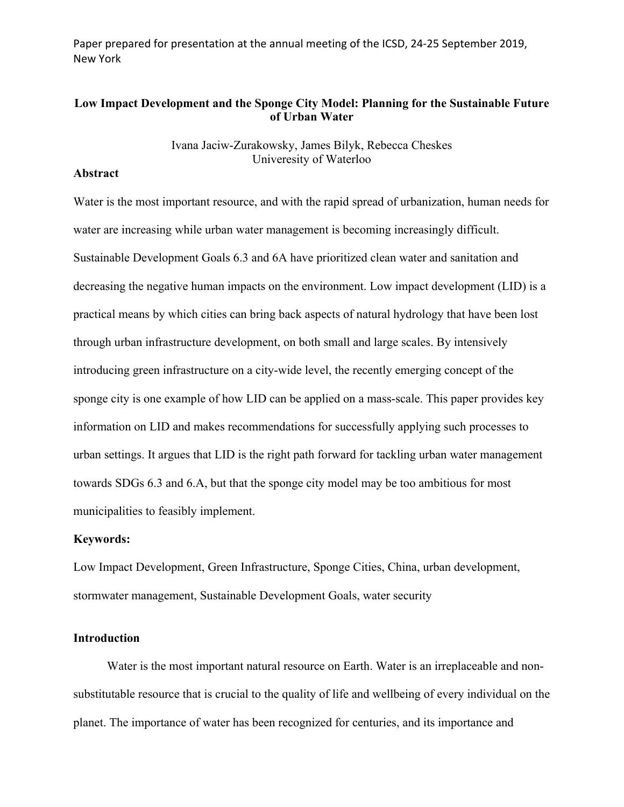Paper prepared for presentation at the annual meeting of the ICSD, 24-25 September 2019, New York

# **Low Impact Development and the Sponge City Model: Planning for the Sustainable Future of Urban Water**

Ivana Jaciw-Zurakowsky, James Bilyk, Rebecca Cheskes Univeresity of Waterloo

## **Abstract**

Water is the most important resource, and with the rapid spread of urbanization, human needs for water are increasing while urban water management is becoming increasingly difficult. Sustainable Development Goals 6.3 and 6A have prioritized clean water and sanitation and decreasing the negative human impacts on the environment. Low impact development (LID) is a practical means by which cities can bring back aspects of natural hydrology that have been lost through urban infrastructure development, on both small and large scales. By intensively introducing green infrastructure on a city-wide level, the recently emerging concept of the sponge city is one example of how LID can be applied on a mass-scale. This paper provides key information on LID and makes recommendations for successfully applying such processes to urban settings. It argues that LID is the right path forward for tackling urban water management towards SDGs 6.3 and 6.A, but that the sponge city model may be too ambitious for most municipalities to feasibly implement.

### **Keywords:**

Low Impact Development, Green Infrastructure, Sponge Cities, China, urban development, stormwater management, Sustainable Development Goals, water security

## **Introduction**

 Water is the most important natural resource on Earth. Water is an irreplaceable and nonsubstitutable resource that is crucial to the quality of life and wellbeing of every individual on the planet. The importance of water has been recognized for centuries, and its importance and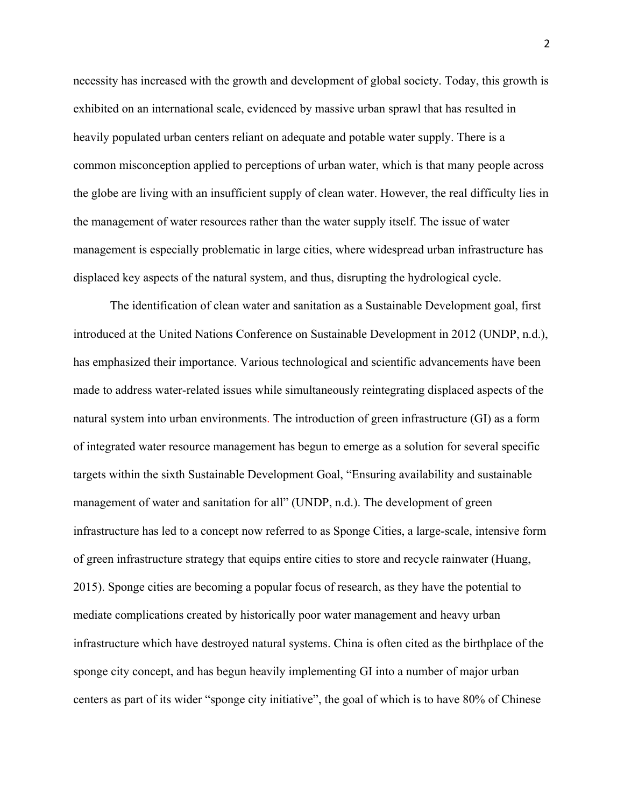necessity has increased with the growth and development of global society. Today, this growth is exhibited on an international scale, evidenced by massive urban sprawl that has resulted in heavily populated urban centers reliant on adequate and potable water supply. There is a common misconception applied to perceptions of urban water, which is that many people across the globe are living with an insufficient supply of clean water. However, the real difficulty lies in the management of water resources rather than the water supply itself. The issue of water management is especially problematic in large cities, where widespread urban infrastructure has displaced key aspects of the natural system, and thus, disrupting the hydrological cycle.

The identification of clean water and sanitation as a Sustainable Development goal, first introduced at the United Nations Conference on Sustainable Development in 2012 (UNDP, n.d.), has emphasized their importance. Various technological and scientific advancements have been made to address water-related issues while simultaneously reintegrating displaced aspects of the natural system into urban environments. The introduction of green infrastructure (GI) as a form of integrated water resource management has begun to emerge as a solution for several specific targets within the sixth Sustainable Development Goal, "Ensuring availability and sustainable management of water and sanitation for all" (UNDP, n.d.). The development of green infrastructure has led to a concept now referred to as Sponge Cities, a large-scale, intensive form of green infrastructure strategy that equips entire cities to store and recycle rainwater (Huang, 2015). Sponge cities are becoming a popular focus of research, as they have the potential to mediate complications created by historically poor water management and heavy urban infrastructure which have destroyed natural systems. China is often cited as the birthplace of the sponge city concept, and has begun heavily implementing GI into a number of major urban centers as part of its wider "sponge city initiative", the goal of which is to have 80% of Chinese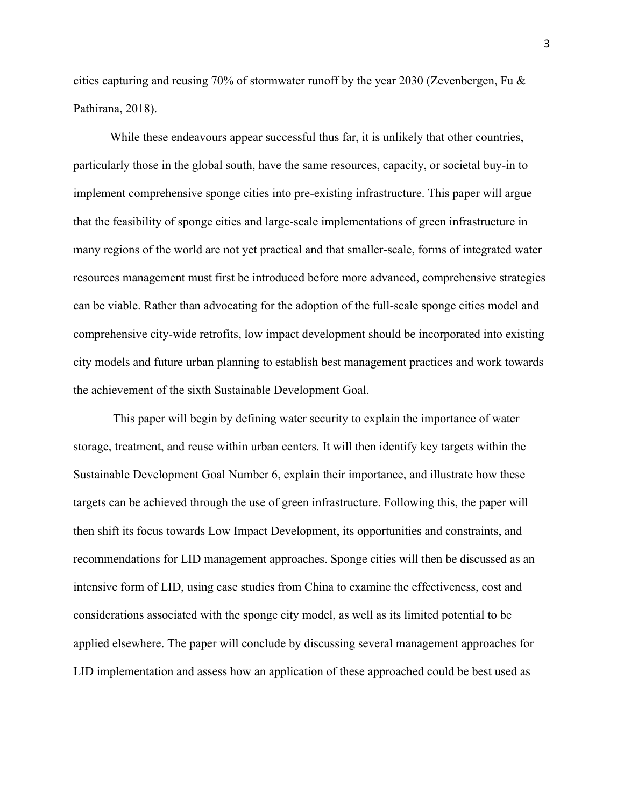cities capturing and reusing 70% of stormwater runoff by the year 2030 (Zevenbergen, Fu & Pathirana, 2018).

While these endeavours appear successful thus far, it is unlikely that other countries, particularly those in the global south, have the same resources, capacity, or societal buy-in to implement comprehensive sponge cities into pre-existing infrastructure. This paper will argue that the feasibility of sponge cities and large-scale implementations of green infrastructure in many regions of the world are not yet practical and that smaller-scale, forms of integrated water resources management must first be introduced before more advanced, comprehensive strategies can be viable. Rather than advocating for the adoption of the full-scale sponge cities model and comprehensive city-wide retrofits, low impact development should be incorporated into existing city models and future urban planning to establish best management practices and work towards the achievement of the sixth Sustainable Development Goal.

This paper will begin by defining water security to explain the importance of water storage, treatment, and reuse within urban centers. It will then identify key targets within the Sustainable Development Goal Number 6, explain their importance, and illustrate how these targets can be achieved through the use of green infrastructure. Following this, the paper will then shift its focus towards Low Impact Development, its opportunities and constraints, and recommendations for LID management approaches. Sponge cities will then be discussed as an intensive form of LID, using case studies from China to examine the effectiveness, cost and considerations associated with the sponge city model, as well as its limited potential to be applied elsewhere. The paper will conclude by discussing several management approaches for LID implementation and assess how an application of these approached could be best used as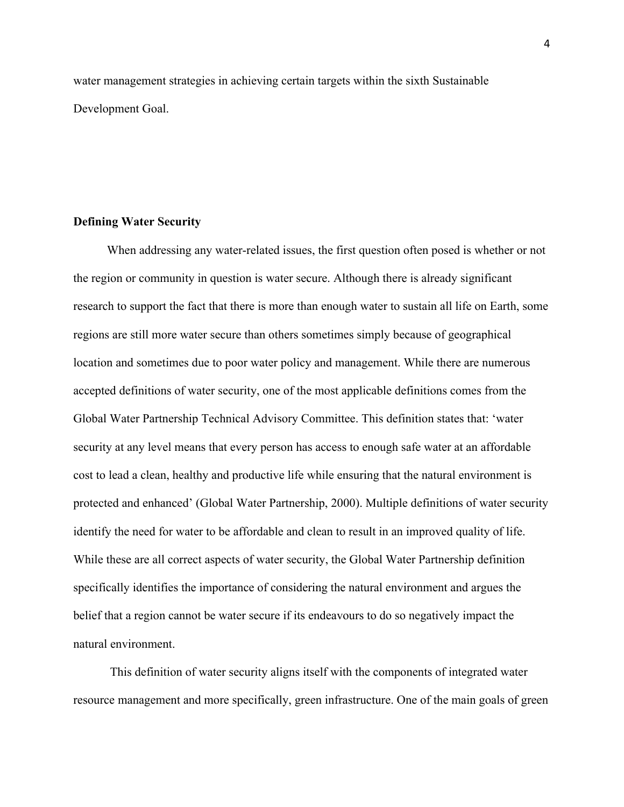water management strategies in achieving certain targets within the sixth Sustainable Development Goal.

### **Defining Water Security**

 When addressing any water-related issues, the first question often posed is whether or not the region or community in question is water secure. Although there is already significant research to support the fact that there is more than enough water to sustain all life on Earth, some regions are still more water secure than others sometimes simply because of geographical location and sometimes due to poor water policy and management. While there are numerous accepted definitions of water security, one of the most applicable definitions comes from the Global Water Partnership Technical Advisory Committee. This definition states that: 'water security at any level means that every person has access to enough safe water at an affordable cost to lead a clean, healthy and productive life while ensuring that the natural environment is protected and enhanced' (Global Water Partnership, 2000). Multiple definitions of water security identify the need for water to be affordable and clean to result in an improved quality of life. While these are all correct aspects of water security, the Global Water Partnership definition specifically identifies the importance of considering the natural environment and argues the belief that a region cannot be water secure if its endeavours to do so negatively impact the natural environment.

This definition of water security aligns itself with the components of integrated water resource management and more specifically, green infrastructure. One of the main goals of green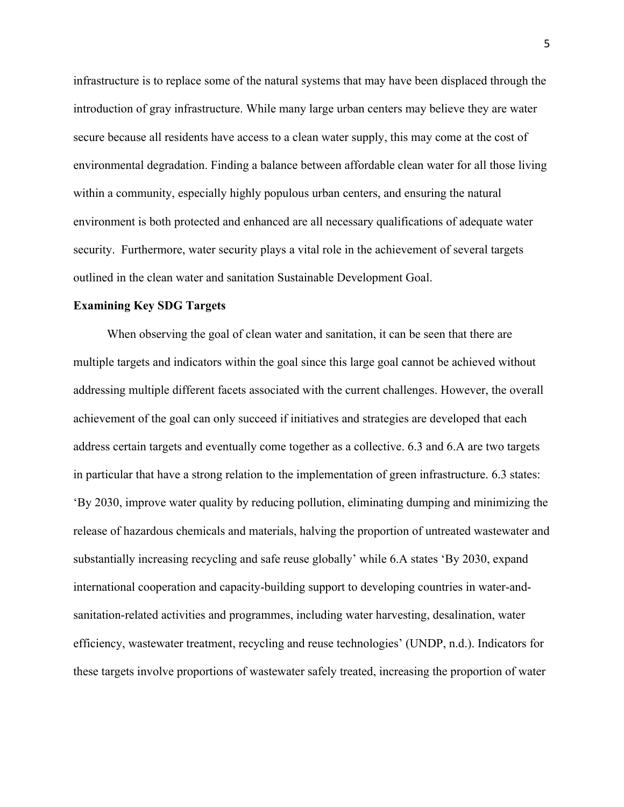infrastructure is to replace some of the natural systems that may have been displaced through the introduction of gray infrastructure. While many large urban centers may believe they are water secure because all residents have access to a clean water supply, this may come at the cost of environmental degradation. Finding a balance between affordable clean water for all those living within a community, especially highly populous urban centers, and ensuring the natural environment is both protected and enhanced are all necessary qualifications of adequate water security. Furthermore, water security plays a vital role in the achievement of several targets outlined in the clean water and sanitation Sustainable Development Goal.

#### **Examining Key SDG Targets**

 When observing the goal of clean water and sanitation, it can be seen that there are multiple targets and indicators within the goal since this large goal cannot be achieved without addressing multiple different facets associated with the current challenges. However, the overall achievement of the goal can only succeed if initiatives and strategies are developed that each address certain targets and eventually come together as a collective. 6.3 and 6.A are two targets in particular that have a strong relation to the implementation of green infrastructure. 6.3 states: 'By 2030, improve water quality by reducing pollution, eliminating dumping and minimizing the release of hazardous chemicals and materials, halving the proportion of untreated wastewater and substantially increasing recycling and safe reuse globally' while 6.A states 'By 2030, expand international cooperation and capacity-building support to developing countries in water-andsanitation-related activities and programmes, including water harvesting, desalination, water efficiency, wastewater treatment, recycling and reuse technologies' (UNDP, n.d.). Indicators for these targets involve proportions of wastewater safely treated, increasing the proportion of water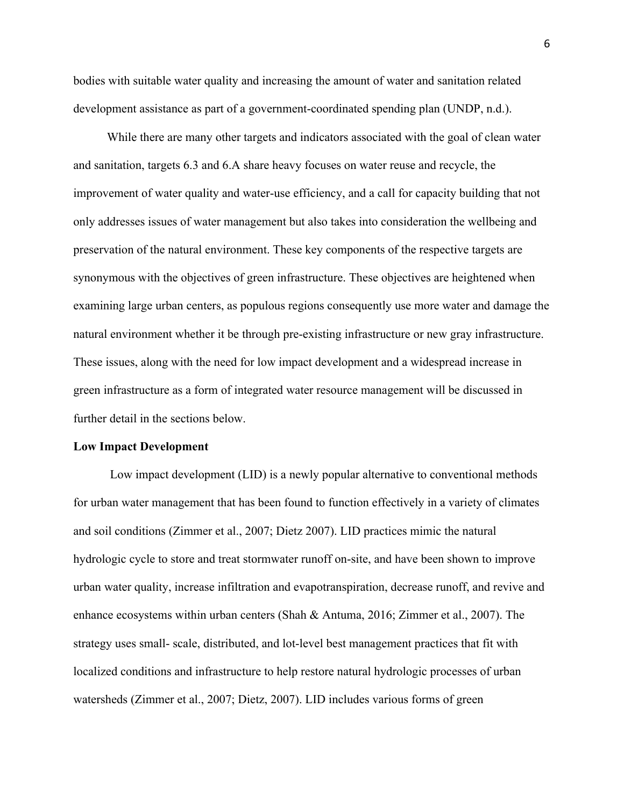bodies with suitable water quality and increasing the amount of water and sanitation related development assistance as part of a government-coordinated spending plan (UNDP, n.d.).

 While there are many other targets and indicators associated with the goal of clean water and sanitation, targets 6.3 and 6.A share heavy focuses on water reuse and recycle, the improvement of water quality and water-use efficiency, and a call for capacity building that not only addresses issues of water management but also takes into consideration the wellbeing and preservation of the natural environment. These key components of the respective targets are synonymous with the objectives of green infrastructure. These objectives are heightened when examining large urban centers, as populous regions consequently use more water and damage the natural environment whether it be through pre-existing infrastructure or new gray infrastructure. These issues, along with the need for low impact development and a widespread increase in green infrastructure as a form of integrated water resource management will be discussed in further detail in the sections below.

#### **Low Impact Development**

Low impact development (LID) is a newly popular alternative to conventional methods for urban water management that has been found to function effectively in a variety of climates and soil conditions (Zimmer et al., 2007; Dietz 2007). LID practices mimic the natural hydrologic cycle to store and treat stormwater runoff on-site, and have been shown to improve urban water quality, increase infiltration and evapotranspiration, decrease runoff, and revive and enhance ecosystems within urban centers (Shah & Antuma, 2016; Zimmer et al., 2007). The strategy uses small- scale, distributed, and lot-level best management practices that fit with localized conditions and infrastructure to help restore natural hydrologic processes of urban watersheds (Zimmer et al., 2007; Dietz, 2007). LID includes various forms of green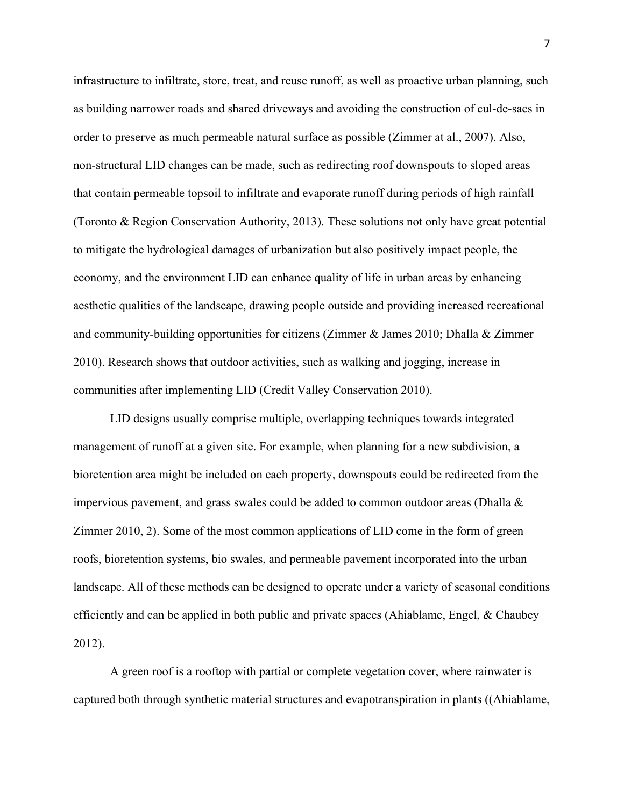infrastructure to infiltrate, store, treat, and reuse runoff, as well as proactive urban planning, such as building narrower roads and shared driveways and avoiding the construction of cul-de-sacs in order to preserve as much permeable natural surface as possible (Zimmer at al., 2007). Also, non-structural LID changes can be made, such as redirecting roof downspouts to sloped areas that contain permeable topsoil to infiltrate and evaporate runoff during periods of high rainfall (Toronto & Region Conservation Authority, 2013). These solutions not only have great potential to mitigate the hydrological damages of urbanization but also positively impact people, the economy, and the environment LID can enhance quality of life in urban areas by enhancing aesthetic qualities of the landscape, drawing people outside and providing increased recreational and community-building opportunities for citizens (Zimmer & James 2010; Dhalla & Zimmer 2010). Research shows that outdoor activities, such as walking and jogging, increase in communities after implementing LID (Credit Valley Conservation 2010).

LID designs usually comprise multiple, overlapping techniques towards integrated management of runoff at a given site. For example, when planning for a new subdivision, a bioretention area might be included on each property, downspouts could be redirected from the impervious pavement, and grass swales could be added to common outdoor areas (Dhalla & Zimmer 2010, 2). Some of the most common applications of LID come in the form of green roofs, bioretention systems, bio swales, and permeable pavement incorporated into the urban landscape. All of these methods can be designed to operate under a variety of seasonal conditions efficiently and can be applied in both public and private spaces (Ahiablame, Engel, & Chaubey 2012).

A green roof is a rooftop with partial or complete vegetation cover, where rainwater is captured both through synthetic material structures and evapotranspiration in plants ((Ahiablame,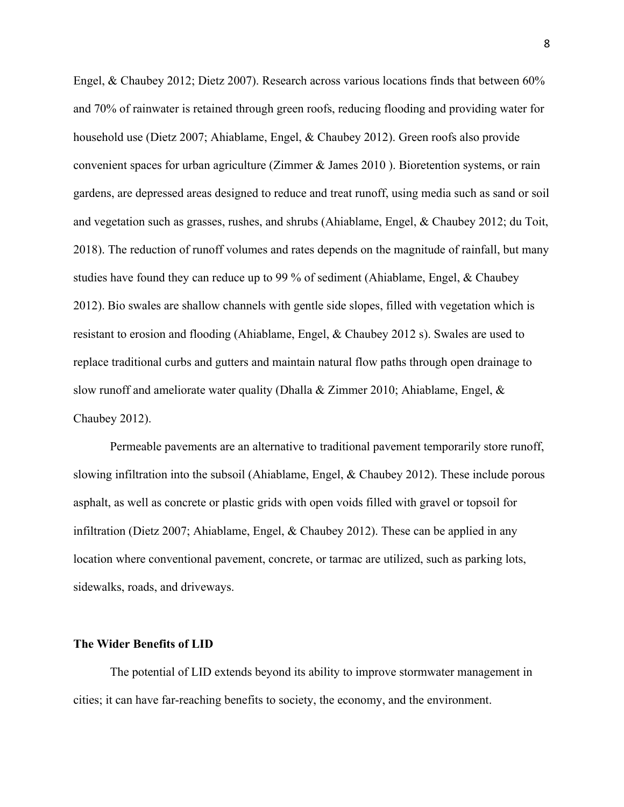Engel, & Chaubey 2012; Dietz 2007). Research across various locations finds that between 60% and 70% of rainwater is retained through green roofs, reducing flooding and providing water for household use (Dietz 2007; Ahiablame, Engel, & Chaubey 2012). Green roofs also provide convenient spaces for urban agriculture (Zimmer & James 2010 ). Bioretention systems, or rain gardens, are depressed areas designed to reduce and treat runoff, using media such as sand or soil and vegetation such as grasses, rushes, and shrubs (Ahiablame, Engel, & Chaubey 2012; du Toit, 2018). The reduction of runoff volumes and rates depends on the magnitude of rainfall, but many studies have found they can reduce up to 99 % of sediment (Ahiablame, Engel, & Chaubey 2012). Bio swales are shallow channels with gentle side slopes, filled with vegetation which is resistant to erosion and flooding (Ahiablame, Engel, & Chaubey 2012 s). Swales are used to replace traditional curbs and gutters and maintain natural flow paths through open drainage to slow runoff and ameliorate water quality (Dhalla & Zimmer 2010; Ahiablame, Engel, & Chaubey 2012).

Permeable pavements are an alternative to traditional pavement temporarily store runoff, slowing infiltration into the subsoil (Ahiablame, Engel, & Chaubey 2012). These include porous asphalt, as well as concrete or plastic grids with open voids filled with gravel or topsoil for infiltration (Dietz 2007; Ahiablame, Engel, & Chaubey 2012). These can be applied in any location where conventional pavement, concrete, or tarmac are utilized, such as parking lots, sidewalks, roads, and driveways.

## **The Wider Benefits of LID**

The potential of LID extends beyond its ability to improve stormwater management in cities; it can have far-reaching benefits to society, the economy, and the environment.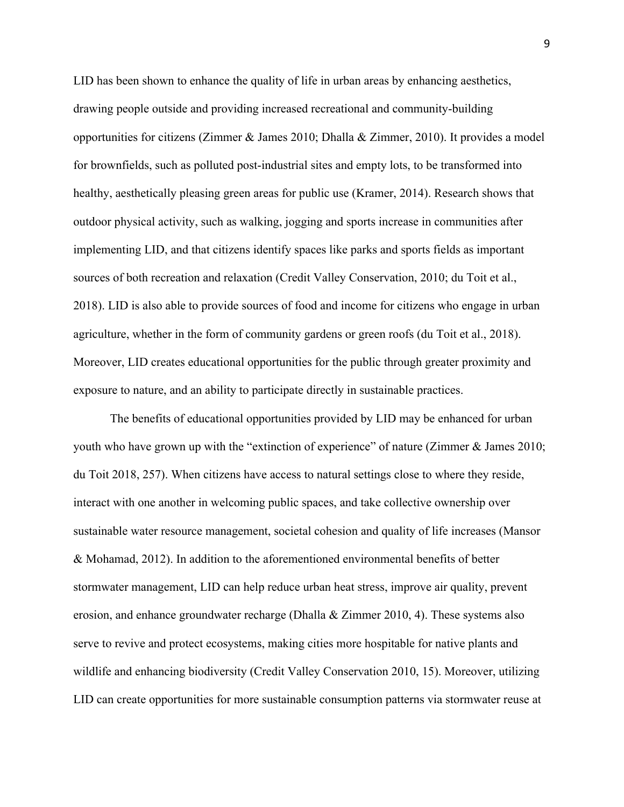LID has been shown to enhance the quality of life in urban areas by enhancing aesthetics, drawing people outside and providing increased recreational and community-building opportunities for citizens (Zimmer & James 2010; Dhalla & Zimmer, 2010). It provides a model for brownfields, such as polluted post-industrial sites and empty lots, to be transformed into healthy, aesthetically pleasing green areas for public use (Kramer, 2014). Research shows that outdoor physical activity, such as walking, jogging and sports increase in communities after implementing LID, and that citizens identify spaces like parks and sports fields as important sources of both recreation and relaxation (Credit Valley Conservation, 2010; du Toit et al., 2018). LID is also able to provide sources of food and income for citizens who engage in urban agriculture, whether in the form of community gardens or green roofs (du Toit et al., 2018). Moreover, LID creates educational opportunities for the public through greater proximity and exposure to nature, and an ability to participate directly in sustainable practices.

The benefits of educational opportunities provided by LID may be enhanced for urban youth who have grown up with the "extinction of experience" of nature (Zimmer & James 2010; du Toit 2018, 257). When citizens have access to natural settings close to where they reside, interact with one another in welcoming public spaces, and take collective ownership over sustainable water resource management, societal cohesion and quality of life increases (Mansor & Mohamad, 2012). In addition to the aforementioned environmental benefits of better stormwater management, LID can help reduce urban heat stress, improve air quality, prevent erosion, and enhance groundwater recharge (Dhalla  $&$  Zimmer 2010, 4). These systems also serve to revive and protect ecosystems, making cities more hospitable for native plants and wildlife and enhancing biodiversity (Credit Valley Conservation 2010, 15). Moreover, utilizing LID can create opportunities for more sustainable consumption patterns via stormwater reuse at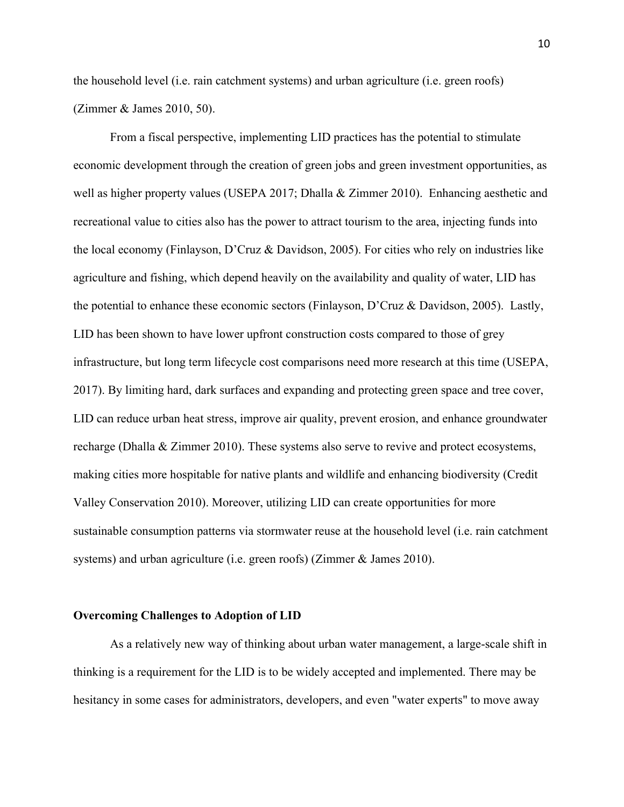the household level (i.e. rain catchment systems) and urban agriculture (i.e. green roofs) (Zimmer & James 2010, 50).

From a fiscal perspective, implementing LID practices has the potential to stimulate economic development through the creation of green jobs and green investment opportunities, as well as higher property values (USEPA 2017; Dhalla & Zimmer 2010). Enhancing aesthetic and recreational value to cities also has the power to attract tourism to the area, injecting funds into the local economy (Finlayson, D'Cruz & Davidson, 2005). For cities who rely on industries like agriculture and fishing, which depend heavily on the availability and quality of water, LID has the potential to enhance these economic sectors (Finlayson, D'Cruz & Davidson, 2005). Lastly, LID has been shown to have lower upfront construction costs compared to those of grey infrastructure, but long term lifecycle cost comparisons need more research at this time (USEPA, 2017). By limiting hard, dark surfaces and expanding and protecting green space and tree cover, LID can reduce urban heat stress, improve air quality, prevent erosion, and enhance groundwater recharge (Dhalla & Zimmer 2010). These systems also serve to revive and protect ecosystems, making cities more hospitable for native plants and wildlife and enhancing biodiversity (Credit Valley Conservation 2010). Moreover, utilizing LID can create opportunities for more sustainable consumption patterns via stormwater reuse at the household level (i.e. rain catchment systems) and urban agriculture (i.e. green roofs) (Zimmer & James 2010).

### **Overcoming Challenges to Adoption of LID**

As a relatively new way of thinking about urban water management, a large-scale shift in thinking is a requirement for the LID is to be widely accepted and implemented. There may be hesitancy in some cases for administrators, developers, and even "water experts" to move away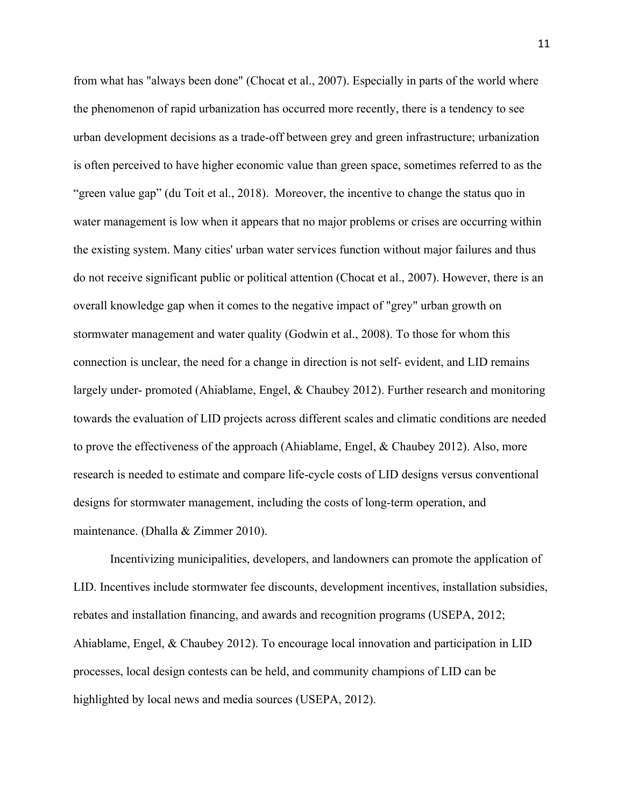from what has "always been done" (Chocat et al., 2007). Especially in parts of the world where the phenomenon of rapid urbanization has occurred more recently, there is a tendency to see urban development decisions as a trade-off between grey and green infrastructure; urbanization is often perceived to have higher economic value than green space, sometimes referred to as the "green value gap" (du Toit et al., 2018). Moreover, the incentive to change the status quo in water management is low when it appears that no major problems or crises are occurring within the existing system. Many cities' urban water services function without major failures and thus do not receive significant public or political attention (Chocat et al., 2007). However, there is an overall knowledge gap when it comes to the negative impact of "grey" urban growth on stormwater management and water quality (Godwin et al., 2008). To those for whom this connection is unclear, the need for a change in direction is not self- evident, and LID remains largely under- promoted (Ahiablame, Engel, & Chaubey 2012). Further research and monitoring towards the evaluation of LID projects across different scales and climatic conditions are needed to prove the effectiveness of the approach (Ahiablame, Engel, & Chaubey 2012). Also, more research is needed to estimate and compare life-cycle costs of LID designs versus conventional designs for stormwater management, including the costs of long-term operation, and maintenance. (Dhalla & Zimmer 2010).

Incentivizing municipalities, developers, and landowners can promote the application of LID. Incentives include stormwater fee discounts, development incentives, installation subsidies, rebates and installation financing, and awards and recognition programs (USEPA, 2012; Ahiablame, Engel, & Chaubey 2012). To encourage local innovation and participation in LID processes, local design contests can be held, and community champions of LID can be highlighted by local news and media sources (USEPA, 2012).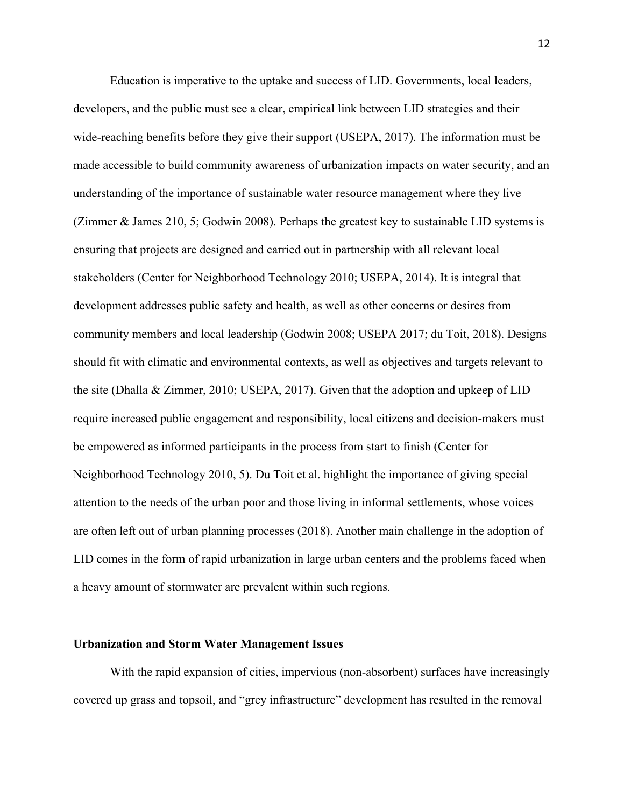Education is imperative to the uptake and success of LID. Governments, local leaders, developers, and the public must see a clear, empirical link between LID strategies and their wide-reaching benefits before they give their support (USEPA, 2017). The information must be made accessible to build community awareness of urbanization impacts on water security, and an understanding of the importance of sustainable water resource management where they live (Zimmer & James 210, 5; Godwin 2008). Perhaps the greatest key to sustainable LID systems is ensuring that projects are designed and carried out in partnership with all relevant local stakeholders (Center for Neighborhood Technology 2010; USEPA, 2014). It is integral that development addresses public safety and health, as well as other concerns or desires from community members and local leadership (Godwin 2008; USEPA 2017; du Toit, 2018). Designs should fit with climatic and environmental contexts, as well as objectives and targets relevant to the site (Dhalla & Zimmer, 2010; USEPA, 2017). Given that the adoption and upkeep of LID require increased public engagement and responsibility, local citizens and decision-makers must be empowered as informed participants in the process from start to finish (Center for Neighborhood Technology 2010, 5). Du Toit et al. highlight the importance of giving special attention to the needs of the urban poor and those living in informal settlements, whose voices are often left out of urban planning processes (2018). Another main challenge in the adoption of LID comes in the form of rapid urbanization in large urban centers and the problems faced when a heavy amount of stormwater are prevalent within such regions.

### **Urbanization and Storm Water Management Issues**

With the rapid expansion of cities, impervious (non-absorbent) surfaces have increasingly covered up grass and topsoil, and "grey infrastructure" development has resulted in the removal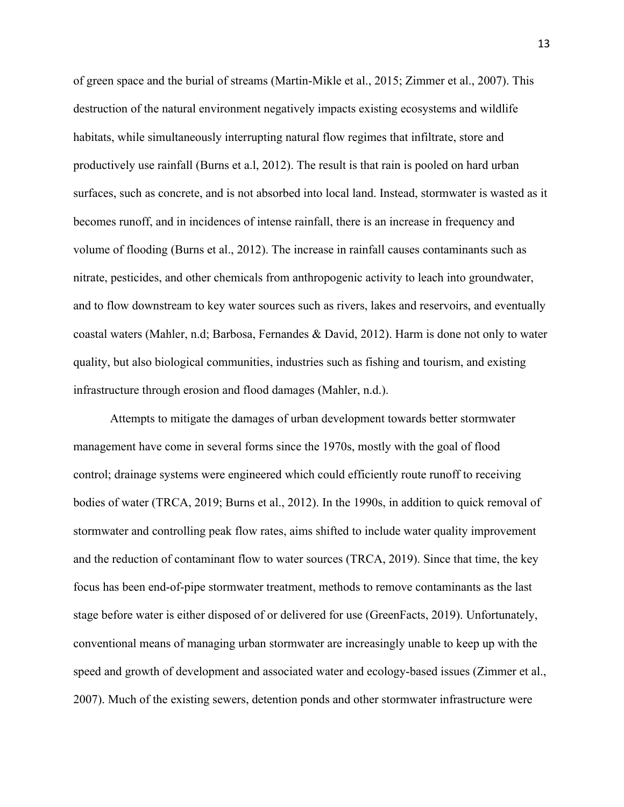of green space and the burial of streams (Martin-Mikle et al., 2015; Zimmer et al., 2007). This destruction of the natural environment negatively impacts existing ecosystems and wildlife habitats, while simultaneously interrupting natural flow regimes that infiltrate, store and productively use rainfall (Burns et a.l, 2012). The result is that rain is pooled on hard urban surfaces, such as concrete, and is not absorbed into local land. Instead, stormwater is wasted as it becomes runoff, and in incidences of intense rainfall, there is an increase in frequency and volume of flooding (Burns et al., 2012). The increase in rainfall causes contaminants such as nitrate, pesticides, and other chemicals from anthropogenic activity to leach into groundwater, and to flow downstream to key water sources such as rivers, lakes and reservoirs, and eventually coastal waters (Mahler, n.d; Barbosa, Fernandes & David, 2012). Harm is done not only to water quality, but also biological communities, industries such as fishing and tourism, and existing infrastructure through erosion and flood damages (Mahler, n.d.).

Attempts to mitigate the damages of urban development towards better stormwater management have come in several forms since the 1970s, mostly with the goal of flood control; drainage systems were engineered which could efficiently route runoff to receiving bodies of water (TRCA, 2019; Burns et al., 2012). In the 1990s, in addition to quick removal of stormwater and controlling peak flow rates, aims shifted to include water quality improvement and the reduction of contaminant flow to water sources (TRCA, 2019). Since that time, the key focus has been end-of-pipe stormwater treatment, methods to remove contaminants as the last stage before water is either disposed of or delivered for use (GreenFacts, 2019). Unfortunately, conventional means of managing urban stormwater are increasingly unable to keep up with the speed and growth of development and associated water and ecology-based issues (Zimmer et al., 2007). Much of the existing sewers, detention ponds and other stormwater infrastructure were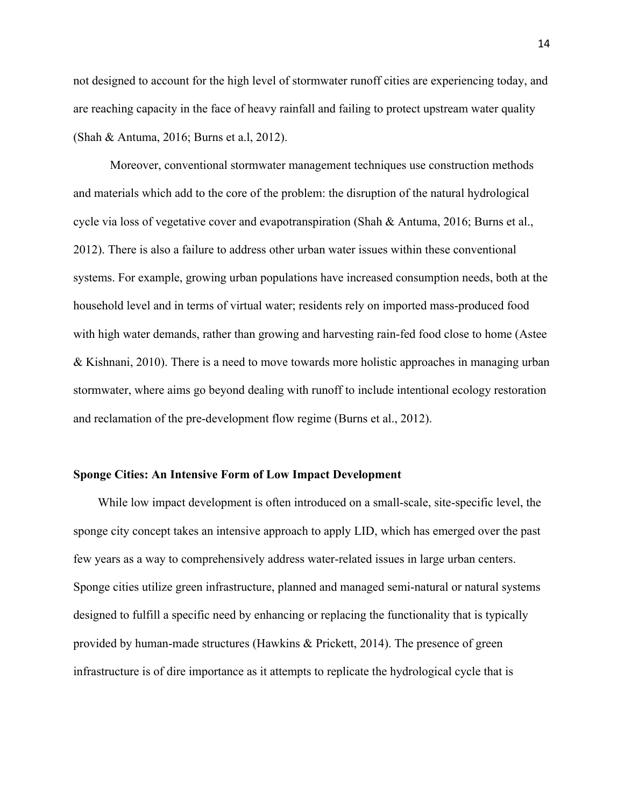not designed to account for the high level of stormwater runoff cities are experiencing today, and are reaching capacity in the face of heavy rainfall and failing to protect upstream water quality (Shah & Antuma, 2016; Burns et a.l, 2012).

Moreover, conventional stormwater management techniques use construction methods and materials which add to the core of the problem: the disruption of the natural hydrological cycle via loss of vegetative cover and evapotranspiration (Shah & Antuma, 2016; Burns et al., 2012). There is also a failure to address other urban water issues within these conventional systems. For example, growing urban populations have increased consumption needs, both at the household level and in terms of virtual water; residents rely on imported mass-produced food with high water demands, rather than growing and harvesting rain-fed food close to home (Astee & Kishnani, 2010). There is a need to move towards more holistic approaches in managing urban stormwater, where aims go beyond dealing with runoff to include intentional ecology restoration and reclamation of the pre-development flow regime (Burns et al., 2012).

### **Sponge Cities: An Intensive Form of Low Impact Development**

 While low impact development is often introduced on a small-scale, site-specific level, the sponge city concept takes an intensive approach to apply LID, which has emerged over the past few years as a way to comprehensively address water-related issues in large urban centers. Sponge cities utilize green infrastructure, planned and managed semi-natural or natural systems designed to fulfill a specific need by enhancing or replacing the functionality that is typically provided by human-made structures (Hawkins & Prickett, 2014). The presence of green infrastructure is of dire importance as it attempts to replicate the hydrological cycle that is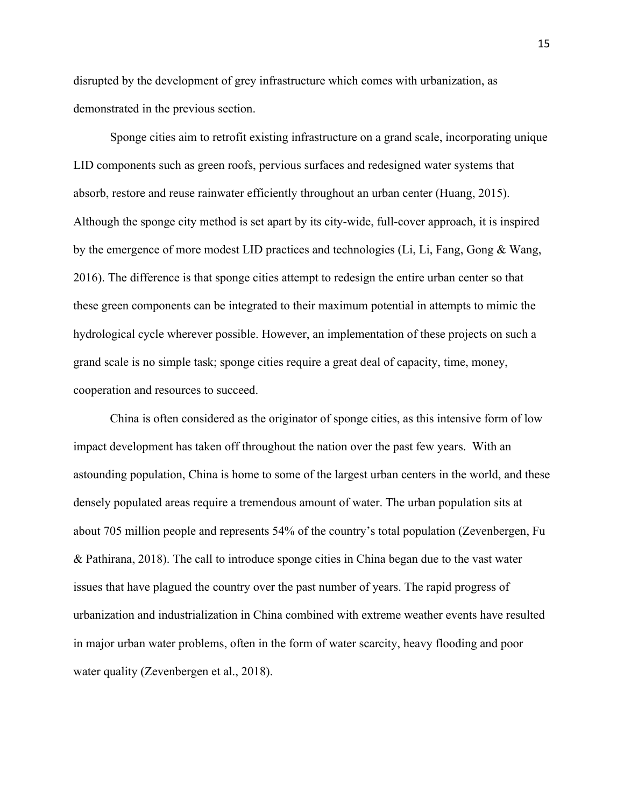disrupted by the development of grey infrastructure which comes with urbanization, as demonstrated in the previous section.

Sponge cities aim to retrofit existing infrastructure on a grand scale, incorporating unique LID components such as green roofs, pervious surfaces and redesigned water systems that absorb, restore and reuse rainwater efficiently throughout an urban center (Huang, 2015). Although the sponge city method is set apart by its city-wide, full-cover approach, it is inspired by the emergence of more modest LID practices and technologies (Li, Li, Fang, Gong & Wang, 2016). The difference is that sponge cities attempt to redesign the entire urban center so that these green components can be integrated to their maximum potential in attempts to mimic the hydrological cycle wherever possible. However, an implementation of these projects on such a grand scale is no simple task; sponge cities require a great deal of capacity, time, money, cooperation and resources to succeed.

China is often considered as the originator of sponge cities, as this intensive form of low impact development has taken off throughout the nation over the past few years. With an astounding population, China is home to some of the largest urban centers in the world, and these densely populated areas require a tremendous amount of water. The urban population sits at about 705 million people and represents 54% of the country's total population (Zevenbergen, Fu & Pathirana, 2018). The call to introduce sponge cities in China began due to the vast water issues that have plagued the country over the past number of years. The rapid progress of urbanization and industrialization in China combined with extreme weather events have resulted in major urban water problems, often in the form of water scarcity, heavy flooding and poor water quality (Zevenbergen et al., 2018).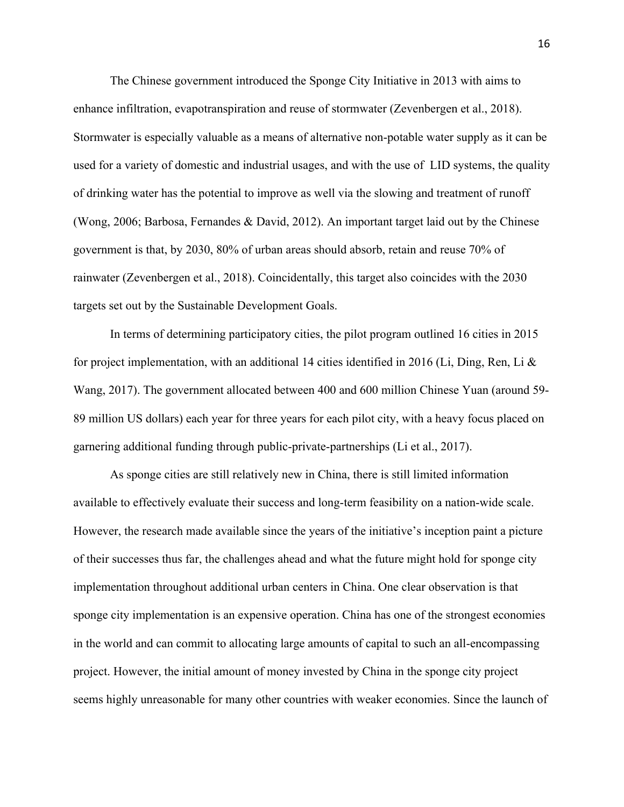The Chinese government introduced the Sponge City Initiative in 2013 with aims to enhance infiltration, evapotranspiration and reuse of stormwater (Zevenbergen et al., 2018). Stormwater is especially valuable as a means of alternative non-potable water supply as it can be used for a variety of domestic and industrial usages, and with the use of LID systems, the quality of drinking water has the potential to improve as well via the slowing and treatment of runoff (Wong, 2006; Barbosa, Fernandes & David, 2012). An important target laid out by the Chinese government is that, by 2030, 80% of urban areas should absorb, retain and reuse 70% of rainwater (Zevenbergen et al., 2018). Coincidentally, this target also coincides with the 2030 targets set out by the Sustainable Development Goals.

In terms of determining participatory cities, the pilot program outlined 16 cities in 2015 for project implementation, with an additional 14 cities identified in 2016 (Li, Ding, Ren, Li & Wang, 2017). The government allocated between 400 and 600 million Chinese Yuan (around 59- 89 million US dollars) each year for three years for each pilot city, with a heavy focus placed on garnering additional funding through public-private-partnerships (Li et al., 2017).

As sponge cities are still relatively new in China, there is still limited information available to effectively evaluate their success and long-term feasibility on a nation-wide scale. However, the research made available since the years of the initiative's inception paint a picture of their successes thus far, the challenges ahead and what the future might hold for sponge city implementation throughout additional urban centers in China. One clear observation is that sponge city implementation is an expensive operation. China has one of the strongest economies in the world and can commit to allocating large amounts of capital to such an all-encompassing project. However, the initial amount of money invested by China in the sponge city project seems highly unreasonable for many other countries with weaker economies. Since the launch of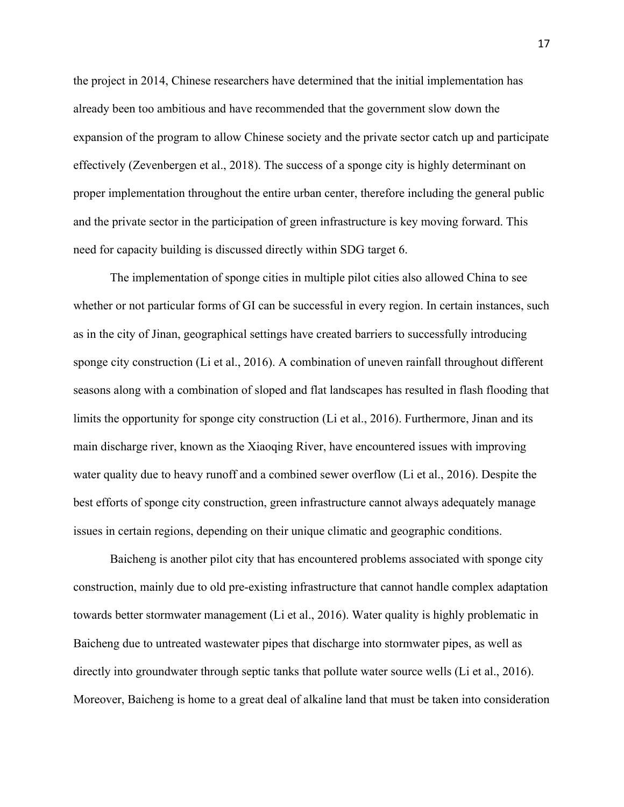the project in 2014, Chinese researchers have determined that the initial implementation has already been too ambitious and have recommended that the government slow down the expansion of the program to allow Chinese society and the private sector catch up and participate effectively (Zevenbergen et al., 2018). The success of a sponge city is highly determinant on proper implementation throughout the entire urban center, therefore including the general public and the private sector in the participation of green infrastructure is key moving forward. This need for capacity building is discussed directly within SDG target 6.

The implementation of sponge cities in multiple pilot cities also allowed China to see whether or not particular forms of GI can be successful in every region. In certain instances, such as in the city of Jinan, geographical settings have created barriers to successfully introducing sponge city construction (Li et al., 2016). A combination of uneven rainfall throughout different seasons along with a combination of sloped and flat landscapes has resulted in flash flooding that limits the opportunity for sponge city construction (Li et al., 2016). Furthermore, Jinan and its main discharge river, known as the Xiaoqing River, have encountered issues with improving water quality due to heavy runoff and a combined sewer overflow (Li et al., 2016). Despite the best efforts of sponge city construction, green infrastructure cannot always adequately manage issues in certain regions, depending on their unique climatic and geographic conditions.

Baicheng is another pilot city that has encountered problems associated with sponge city construction, mainly due to old pre-existing infrastructure that cannot handle complex adaptation towards better stormwater management (Li et al., 2016). Water quality is highly problematic in Baicheng due to untreated wastewater pipes that discharge into stormwater pipes, as well as directly into groundwater through septic tanks that pollute water source wells (Li et al., 2016). Moreover, Baicheng is home to a great deal of alkaline land that must be taken into consideration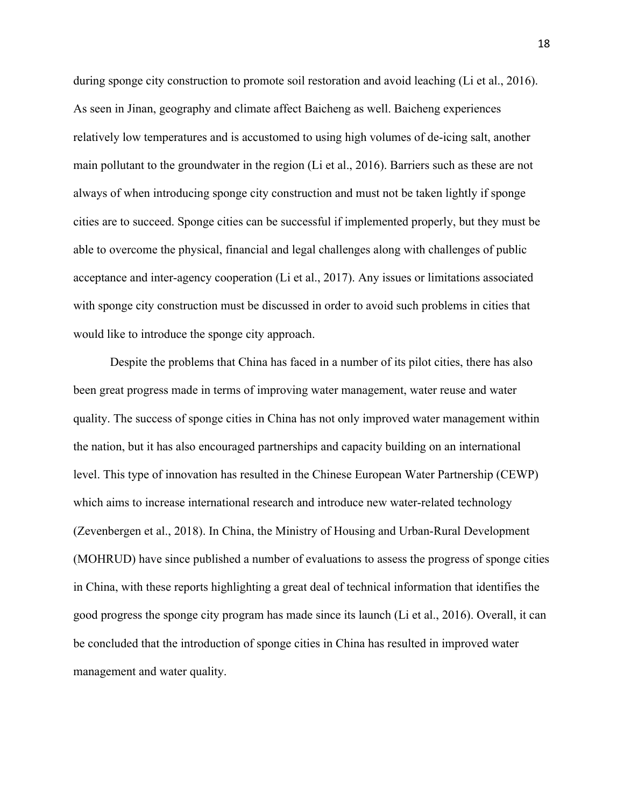during sponge city construction to promote soil restoration and avoid leaching (Li et al., 2016). As seen in Jinan, geography and climate affect Baicheng as well. Baicheng experiences relatively low temperatures and is accustomed to using high volumes of de-icing salt, another main pollutant to the groundwater in the region (Li et al., 2016). Barriers such as these are not always of when introducing sponge city construction and must not be taken lightly if sponge cities are to succeed. Sponge cities can be successful if implemented properly, but they must be able to overcome the physical, financial and legal challenges along with challenges of public acceptance and inter-agency cooperation (Li et al., 2017). Any issues or limitations associated with sponge city construction must be discussed in order to avoid such problems in cities that would like to introduce the sponge city approach.

Despite the problems that China has faced in a number of its pilot cities, there has also been great progress made in terms of improving water management, water reuse and water quality. The success of sponge cities in China has not only improved water management within the nation, but it has also encouraged partnerships and capacity building on an international level. This type of innovation has resulted in the Chinese European Water Partnership (CEWP) which aims to increase international research and introduce new water-related technology (Zevenbergen et al., 2018). In China, the Ministry of Housing and Urban-Rural Development (MOHRUD) have since published a number of evaluations to assess the progress of sponge cities in China, with these reports highlighting a great deal of technical information that identifies the good progress the sponge city program has made since its launch (Li et al., 2016). Overall, it can be concluded that the introduction of sponge cities in China has resulted in improved water management and water quality.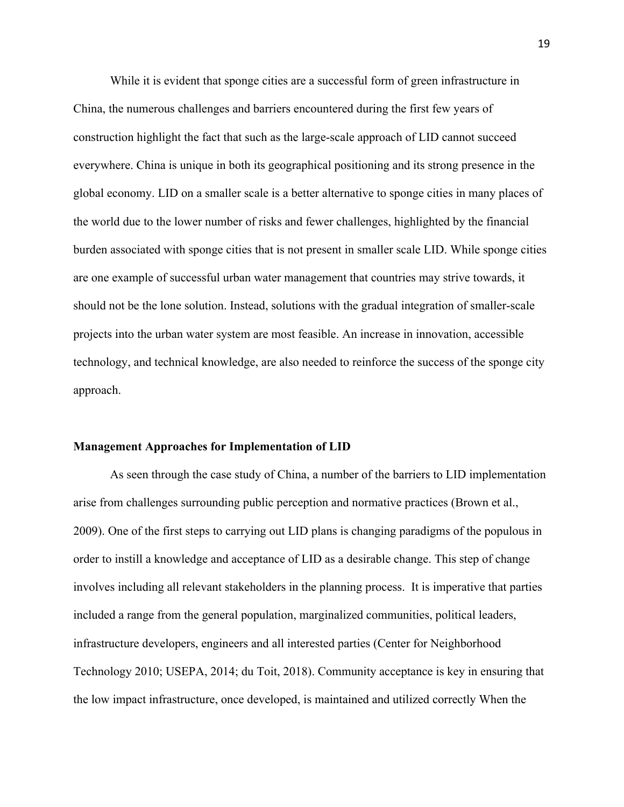While it is evident that sponge cities are a successful form of green infrastructure in China, the numerous challenges and barriers encountered during the first few years of construction highlight the fact that such as the large-scale approach of LID cannot succeed everywhere. China is unique in both its geographical positioning and its strong presence in the global economy. LID on a smaller scale is a better alternative to sponge cities in many places of the world due to the lower number of risks and fewer challenges, highlighted by the financial burden associated with sponge cities that is not present in smaller scale LID. While sponge cities are one example of successful urban water management that countries may strive towards, it should not be the lone solution. Instead, solutions with the gradual integration of smaller-scale projects into the urban water system are most feasible. An increase in innovation, accessible technology, and technical knowledge, are also needed to reinforce the success of the sponge city approach.

#### **Management Approaches for Implementation of LID**

As seen through the case study of China, a number of the barriers to LID implementation arise from challenges surrounding public perception and normative practices (Brown et al., 2009). One of the first steps to carrying out LID plans is changing paradigms of the populous in order to instill a knowledge and acceptance of LID as a desirable change. This step of change involves including all relevant stakeholders in the planning process. It is imperative that parties included a range from the general population, marginalized communities, political leaders, infrastructure developers, engineers and all interested parties (Center for Neighborhood Technology 2010; USEPA, 2014; du Toit, 2018). Community acceptance is key in ensuring that the low impact infrastructure, once developed, is maintained and utilized correctly When the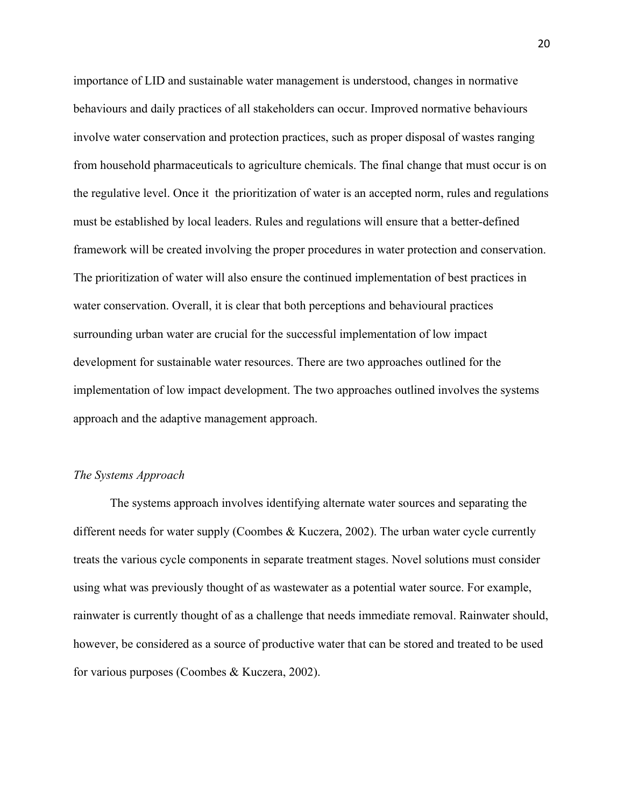importance of LID and sustainable water management is understood, changes in normative behaviours and daily practices of all stakeholders can occur. Improved normative behaviours involve water conservation and protection practices, such as proper disposal of wastes ranging from household pharmaceuticals to agriculture chemicals. The final change that must occur is on the regulative level. Once it the prioritization of water is an accepted norm, rules and regulations must be established by local leaders. Rules and regulations will ensure that a better-defined framework will be created involving the proper procedures in water protection and conservation. The prioritization of water will also ensure the continued implementation of best practices in water conservation. Overall, it is clear that both perceptions and behavioural practices surrounding urban water are crucial for the successful implementation of low impact development for sustainable water resources. There are two approaches outlined for the implementation of low impact development. The two approaches outlined involves the systems approach and the adaptive management approach.

### *The Systems Approach*

The systems approach involves identifying alternate water sources and separating the different needs for water supply (Coombes & Kuczera, 2002). The urban water cycle currently treats the various cycle components in separate treatment stages. Novel solutions must consider using what was previously thought of as wastewater as a potential water source. For example, rainwater is currently thought of as a challenge that needs immediate removal. Rainwater should, however, be considered as a source of productive water that can be stored and treated to be used for various purposes (Coombes & Kuczera, 2002).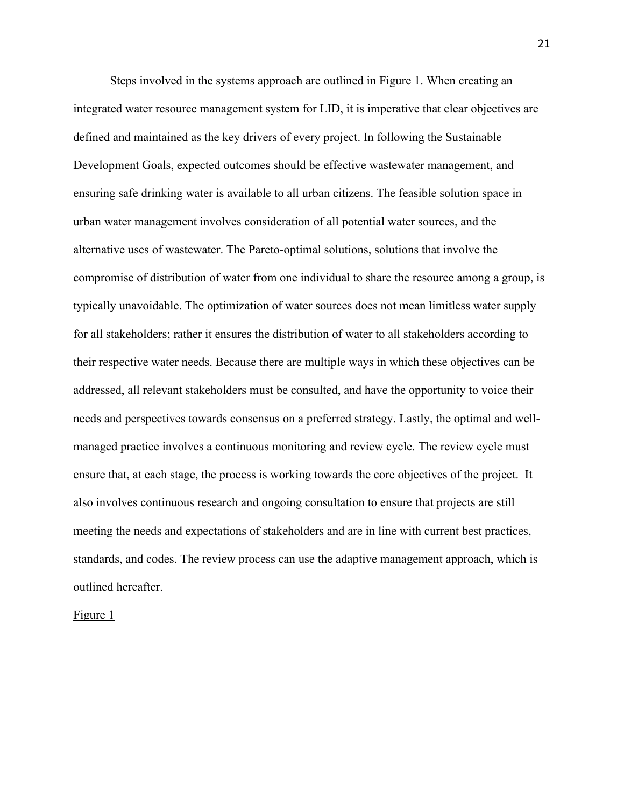Steps involved in the systems approach are outlined in Figure 1. When creating an integrated water resource management system for LID, it is imperative that clear objectives are defined and maintained as the key drivers of every project. In following the Sustainable Development Goals, expected outcomes should be effective wastewater management, and ensuring safe drinking water is available to all urban citizens. The feasible solution space in urban water management involves consideration of all potential water sources, and the alternative uses of wastewater. The Pareto-optimal solutions, solutions that involve the compromise of distribution of water from one individual to share the resource among a group, is typically unavoidable. The optimization of water sources does not mean limitless water supply for all stakeholders; rather it ensures the distribution of water to all stakeholders according to their respective water needs. Because there are multiple ways in which these objectives can be addressed, all relevant stakeholders must be consulted, and have the opportunity to voice their needs and perspectives towards consensus on a preferred strategy. Lastly, the optimal and wellmanaged practice involves a continuous monitoring and review cycle. The review cycle must ensure that, at each stage, the process is working towards the core objectives of the project. It also involves continuous research and ongoing consultation to ensure that projects are still meeting the needs and expectations of stakeholders and are in line with current best practices, standards, and codes. The review process can use the adaptive management approach, which is outlined hereafter.

Figure 1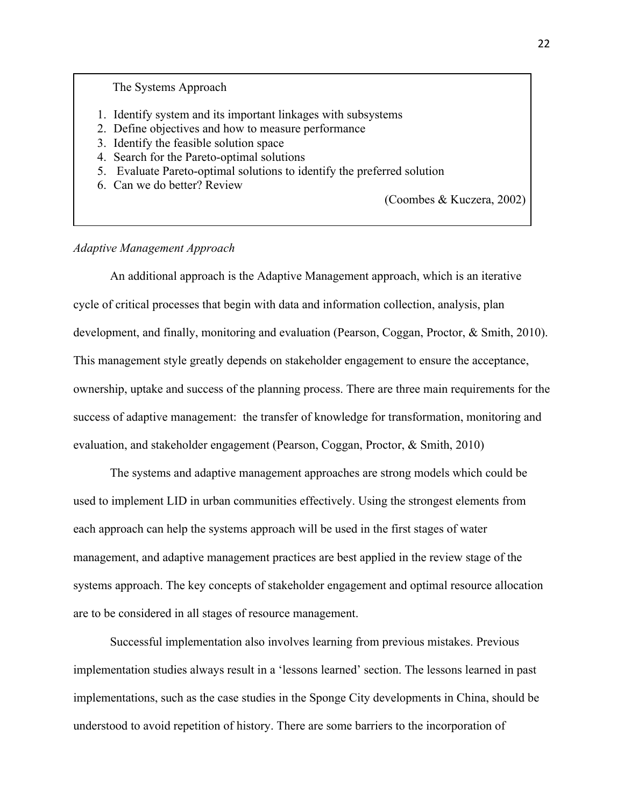### The Systems Approach

- 1. Identify system and its important linkages with subsystems
- 2. Define objectives and how to measure performance
- 3. Identify the feasible solution space
- 4. Search for the Pareto-optimal solutions
- 5. Evaluate Pareto-optimal solutions to identify the preferred solution
- 6. Can we do better? Review

(Coombes & Kuczera, 2002)

## *Adaptive Management Approach*

An additional approach is the Adaptive Management approach, which is an iterative cycle of critical processes that begin with data and information collection, analysis, plan development, and finally, monitoring and evaluation (Pearson, Coggan, Proctor, & Smith, 2010). This management style greatly depends on stakeholder engagement to ensure the acceptance, ownership, uptake and success of the planning process. There are three main requirements for the success of adaptive management: the transfer of knowledge for transformation, monitoring and evaluation, and stakeholder engagement (Pearson, Coggan, Proctor, & Smith, 2010)

The systems and adaptive management approaches are strong models which could be used to implement LID in urban communities effectively. Using the strongest elements from each approach can help the systems approach will be used in the first stages of water management, and adaptive management practices are best applied in the review stage of the systems approach. The key concepts of stakeholder engagement and optimal resource allocation are to be considered in all stages of resource management.

Successful implementation also involves learning from previous mistakes. Previous implementation studies always result in a 'lessons learned' section. The lessons learned in past implementations, such as the case studies in the Sponge City developments in China, should be understood to avoid repetition of history. There are some barriers to the incorporation of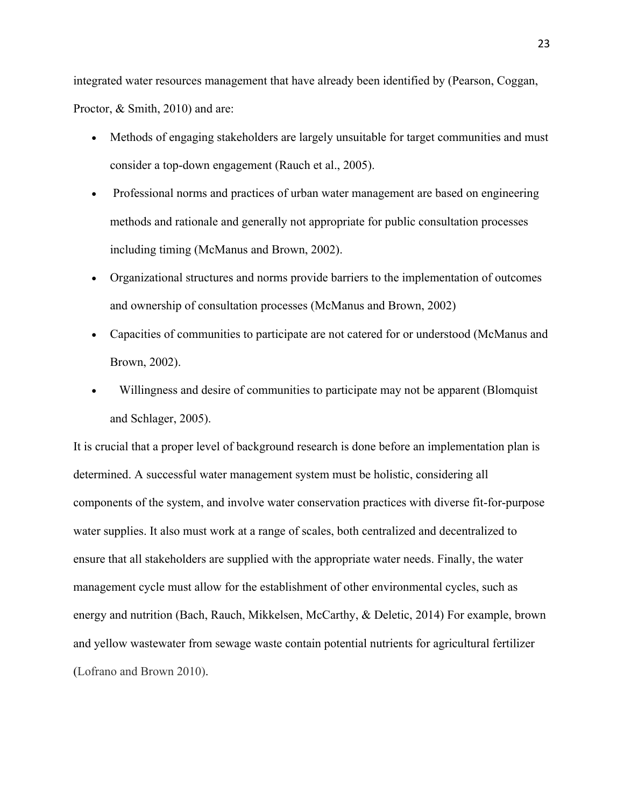integrated water resources management that have already been identified by (Pearson, Coggan, Proctor, & Smith, 2010) and are:

- Methods of engaging stakeholders are largely unsuitable for target communities and must consider a top-down engagement (Rauch et al., 2005).
- Professional norms and practices of urban water management are based on engineering methods and rationale and generally not appropriate for public consultation processes including timing (McManus and Brown, 2002).
- Organizational structures and norms provide barriers to the implementation of outcomes and ownership of consultation processes (McManus and Brown, 2002)
- Capacities of communities to participate are not catered for or understood (McManus and Brown, 2002).
- Willingness and desire of communities to participate may not be apparent (Blomquist and Schlager, 2005).

It is crucial that a proper level of background research is done before an implementation plan is determined. A successful water management system must be holistic, considering all components of the system, and involve water conservation practices with diverse fit-for-purpose water supplies. It also must work at a range of scales, both centralized and decentralized to ensure that all stakeholders are supplied with the appropriate water needs. Finally, the water management cycle must allow for the establishment of other environmental cycles, such as energy and nutrition (Bach, Rauch, Mikkelsen, McCarthy, & Deletic, 2014) For example, brown and yellow wastewater from sewage waste contain potential nutrients for agricultural fertilizer (Lofrano and Brown 2010).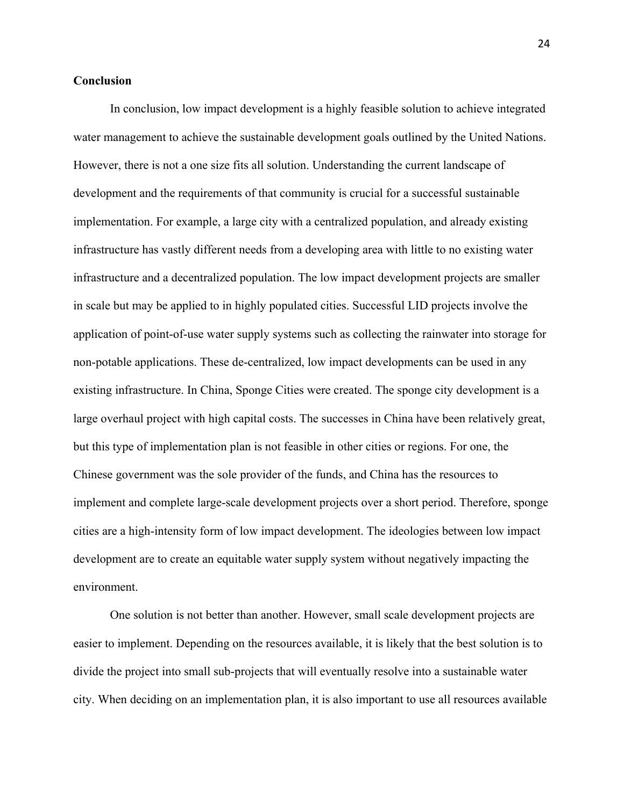## **Conclusion**

In conclusion, low impact development is a highly feasible solution to achieve integrated water management to achieve the sustainable development goals outlined by the United Nations. However, there is not a one size fits all solution. Understanding the current landscape of development and the requirements of that community is crucial for a successful sustainable implementation. For example, a large city with a centralized population, and already existing infrastructure has vastly different needs from a developing area with little to no existing water infrastructure and a decentralized population. The low impact development projects are smaller in scale but may be applied to in highly populated cities. Successful LID projects involve the application of point-of-use water supply systems such as collecting the rainwater into storage for non-potable applications. These de-centralized, low impact developments can be used in any existing infrastructure. In China, Sponge Cities were created. The sponge city development is a large overhaul project with high capital costs. The successes in China have been relatively great, but this type of implementation plan is not feasible in other cities or regions. For one, the Chinese government was the sole provider of the funds, and China has the resources to implement and complete large-scale development projects over a short period. Therefore, sponge cities are a high-intensity form of low impact development. The ideologies between low impact development are to create an equitable water supply system without negatively impacting the environment.

One solution is not better than another. However, small scale development projects are easier to implement. Depending on the resources available, it is likely that the best solution is to divide the project into small sub-projects that will eventually resolve into a sustainable water city. When deciding on an implementation plan, it is also important to use all resources available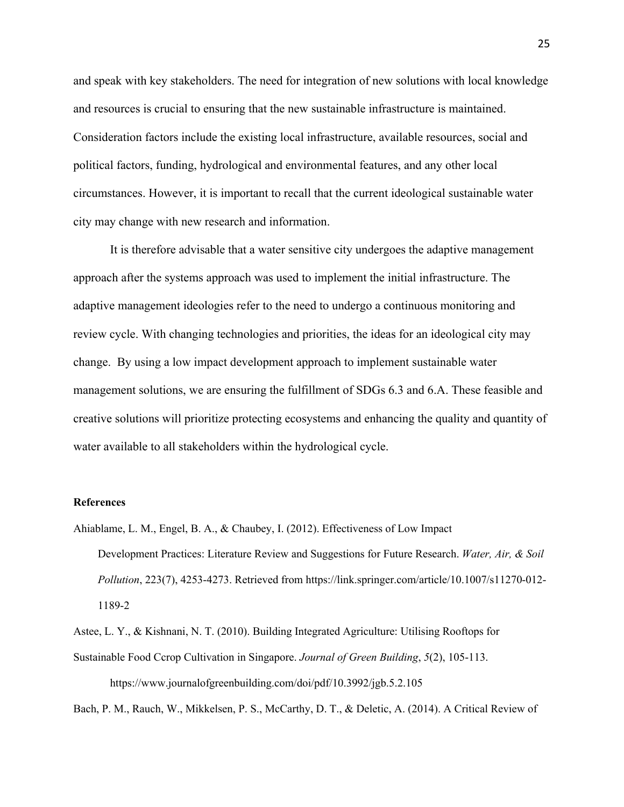and speak with key stakeholders. The need for integration of new solutions with local knowledge and resources is crucial to ensuring that the new sustainable infrastructure is maintained. Consideration factors include the existing local infrastructure, available resources, social and political factors, funding, hydrological and environmental features, and any other local circumstances. However, it is important to recall that the current ideological sustainable water city may change with new research and information.

It is therefore advisable that a water sensitive city undergoes the adaptive management approach after the systems approach was used to implement the initial infrastructure. The adaptive management ideologies refer to the need to undergo a continuous monitoring and review cycle. With changing technologies and priorities, the ideas for an ideological city may change. By using a low impact development approach to implement sustainable water management solutions, we are ensuring the fulfillment of SDGs 6.3 and 6.A. These feasible and creative solutions will prioritize protecting ecosystems and enhancing the quality and quantity of water available to all stakeholders within the hydrological cycle.

#### **References**

Ahiablame, L. M., Engel, B. A., & Chaubey, I. (2012). Effectiveness of Low Impact Development Practices: Literature Review and Suggestions for Future Research. *Water, Air, & Soil Pollution*, 223(7), 4253-4273. Retrieved from https://link.springer.com/article/10.1007/s11270-012- 1189-2

Astee, L. Y., & Kishnani, N. T. (2010). Building Integrated Agriculture: Utilising Rooftops for Sustainable Food Ccrop Cultivation in Singapore. *Journal of Green Building*, *5*(2), 105-113. https://www.journalofgreenbuilding.com/doi/pdf/10.3992/jgb.5.2.105

Bach, P. M., Rauch, W., Mikkelsen, P. S., McCarthy, D. T., & Deletic, A. (2014). A Critical Review of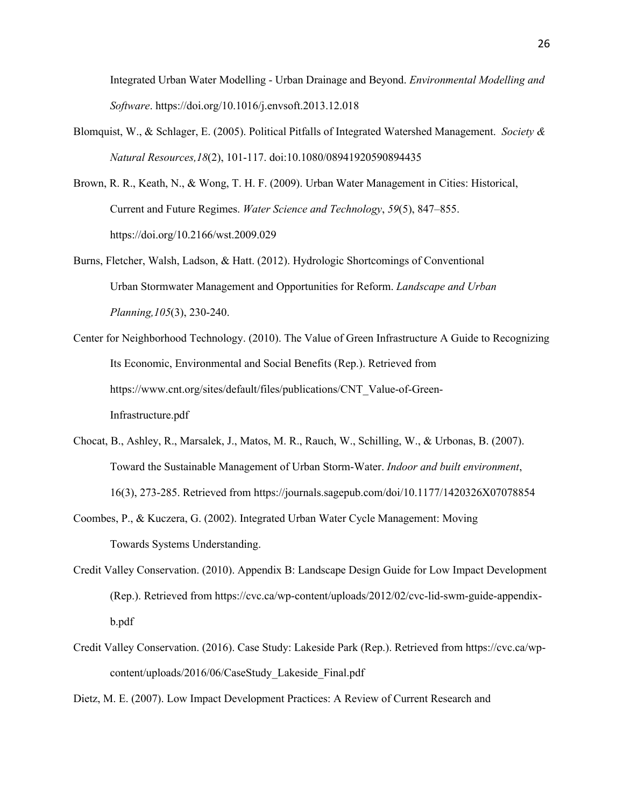Integrated Urban Water Modelling - Urban Drainage and Beyond. *Environmental Modelling and Software*. https://doi.org/10.1016/j.envsoft.2013.12.018

- Blomquist, W., & Schlager, E. (2005). Political Pitfalls of Integrated Watershed Management. *Society & Natural Resources,18*(2), 101-117. doi:10.1080/08941920590894435
- Brown, R. R., Keath, N., & Wong, T. H. F. (2009). Urban Water Management in Cities: Historical, Current and Future Regimes. *Water Science and Technology*, *59*(5), 847–855. https://doi.org/10.2166/wst.2009.029
- Burns, Fletcher, Walsh, Ladson, & Hatt. (2012). Hydrologic Shortcomings of Conventional Urban Stormwater Management and Opportunities for Reform. *Landscape and Urban Planning,105*(3), 230-240.
- Center for Neighborhood Technology. (2010). The Value of Green Infrastructure A Guide to Recognizing Its Economic, Environmental and Social Benefits (Rep.). Retrieved from https://www.cnt.org/sites/default/files/publications/CNT\_Value-of-Green-Infrastructure.pdf
- Chocat, B., Ashley, R., Marsalek, J., Matos, M. R., Rauch, W., Schilling, W., & Urbonas, B. (2007). Toward the Sustainable Management of Urban Storm-Water. *Indoor and built environment*, 16(3), 273-285. Retrieved from https://journals.sagepub.com/doi/10.1177/1420326X07078854
- Coombes, P., & Kuczera, G. (2002). Integrated Urban Water Cycle Management: Moving Towards Systems Understanding.
- Credit Valley Conservation. (2010). Appendix B: Landscape Design Guide for Low Impact Development (Rep.). Retrieved from https://cvc.ca/wp-content/uploads/2012/02/cvc-lid-swm-guide-appendixb.pdf
- Credit Valley Conservation. (2016). Case Study: Lakeside Park (Rep.). Retrieved from https://cvc.ca/wpcontent/uploads/2016/06/CaseStudy\_Lakeside\_Final.pdf

Dietz, M. E. (2007). Low Impact Development Practices: A Review of Current Research and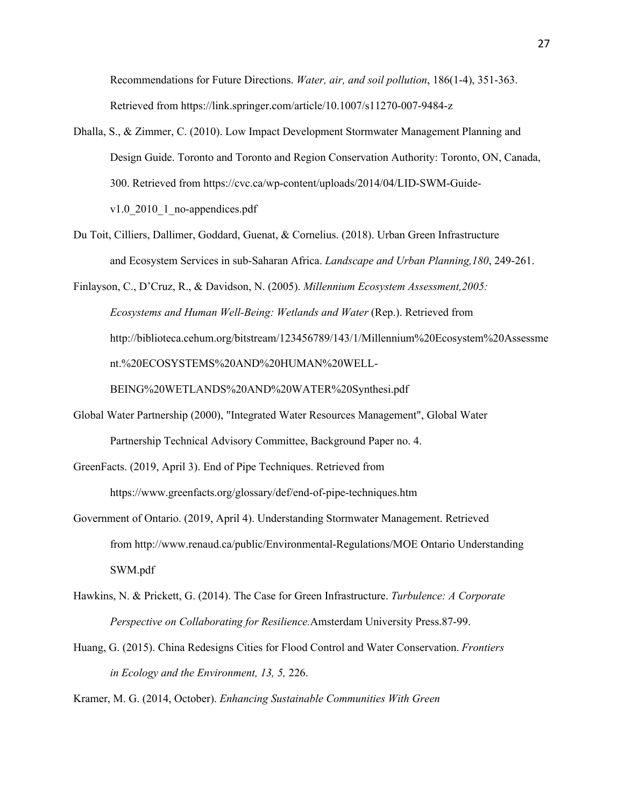Recommendations for Future Directions. *Water, air, and soil pollution*, 186(1-4), 351-363. Retrieved from https://link.springer.com/article/10.1007/s11270-007-9484-z

- Dhalla, S., & Zimmer, C. (2010). Low Impact Development Stormwater Management Planning and Design Guide. Toronto and Toronto and Region Conservation Authority: Toronto, ON, Canada, 300. Retrieved from https://cvc.ca/wp-content/uploads/2014/04/LID-SWM-Guidev1.0 $2010$  1 no-appendices.pdf
- Du Toit, Cilliers, Dallimer, Goddard, Guenat, & Cornelius. (2018). Urban Green Infrastructure and Ecosystem Services in sub-Saharan Africa. *Landscape and Urban Planning,180*, 249-261.

Finlayson, C., D'Cruz, R., & Davidson, N. (2005). *Millennium Ecosystem Assessment,2005: Ecosystems and Human Well-Being: Wetlands and Water* (Rep.). Retrieved from http://biblioteca.cehum.org/bitstream/123456789/143/1/Millennium%20Ecosystem%20Assessme nt.%20ECOSYSTEMS%20AND%20HUMAN%20WELL-

BEING%20WETLANDS%20AND%20WATER%20Synthesi.pdf

Global Water Partnership (2000), "Integrated Water Resources Management", Global Water Partnership Technical Advisory Committee, Background Paper no. 4.

GreenFacts. (2019, April 3). End of Pipe Techniques. Retrieved from https://www.greenfacts.org/glossary/def/end-of-pipe-techniques.htm

- Government of Ontario. (2019, April 4). Understanding Stormwater Management. Retrieved from http://www.renaud.ca/public/Environmental-Regulations/MOE Ontario Understanding SWM.pdf
- Hawkins, N. & Prickett, G. (2014). The Case for Green Infrastructure. *Turbulence: A Corporate Perspective on Collaborating for Resilience.*Amsterdam University Press.87-99.
- Huang, G. (2015). China Redesigns Cities for Flood Control and Water Conservation. *Frontiers in Ecology and the Environment, 13, 5,* 226.

Kramer, M. G. (2014, October). *Enhancing Sustainable Communities With Green*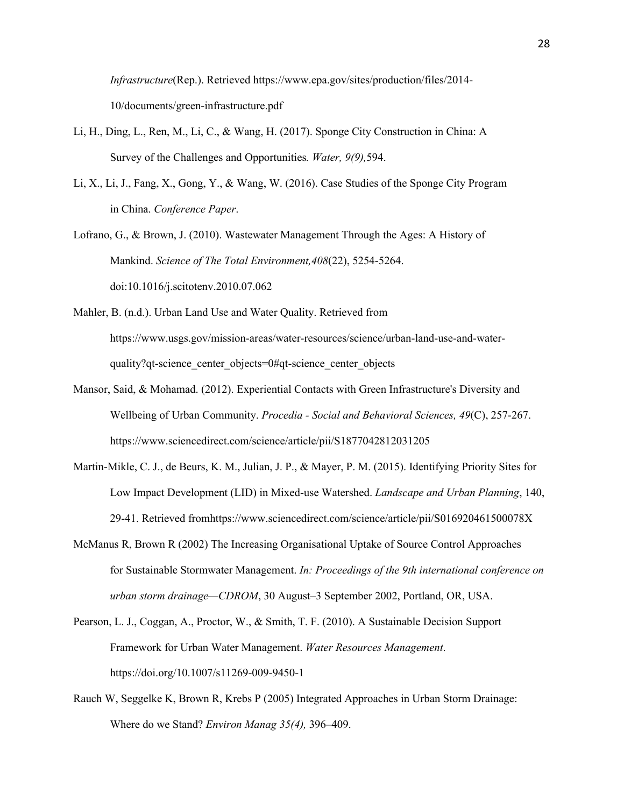*Infrastructure*(Rep.). Retrieved https://www.epa.gov/sites/production/files/2014- 10/documents/green-infrastructure.pdf

- Li, H., Ding, L., Ren, M., Li, C., & Wang, H. (2017). Sponge City Construction in China: A Survey of the Challenges and Opportunities*. Water, 9(9),*594.
- Li, X., Li, J., Fang, X., Gong, Y., & Wang, W. (2016). Case Studies of the Sponge City Program in China. *Conference Paper*.
- Lofrano, G., & Brown, J. (2010). Wastewater Management Through the Ages: A History of Mankind. *Science of The Total Environment,408*(22), 5254-5264. doi:10.1016/j.scitotenv.2010.07.062
- Mahler, B. (n.d.). Urban Land Use and Water Quality. Retrieved from https://www.usgs.gov/mission-areas/water-resources/science/urban-land-use-and-waterquality?qt-science center objects=0#qt-science center objects
- Mansor, Said, & Mohamad. (2012). Experiential Contacts with Green Infrastructure's Diversity and Wellbeing of Urban Community. *Procedia - Social and Behavioral Sciences, 49*(C), 257-267. https://www.sciencedirect.com/science/article/pii/S1877042812031205
- Martin-Mikle, C. J., de Beurs, K. M., Julian, J. P., & Mayer, P. M. (2015). Identifying Priority Sites for Low Impact Development (LID) in Mixed-use Watershed. *Landscape and Urban Planning*, 140, 29-41. Retrieved fromhttps://www.sciencedirect.com/science/article/pii/S016920461500078X
- McManus R, Brown R (2002) The Increasing Organisational Uptake of Source Control Approaches for Sustainable Stormwater Management. *In: Proceedings of the 9th international conference on urban storm drainage—CDROM*, 30 August–3 September 2002, Portland, OR, USA.
- Pearson, L. J., Coggan, A., Proctor, W., & Smith, T. F. (2010). A Sustainable Decision Support Framework for Urban Water Management. *Water Resources Management*. https://doi.org/10.1007/s11269-009-9450-1
- Rauch W, Seggelke K, Brown R, Krebs P (2005) Integrated Approaches in Urban Storm Drainage: Where do we Stand? *Environ Manag 35(4),* 396–409.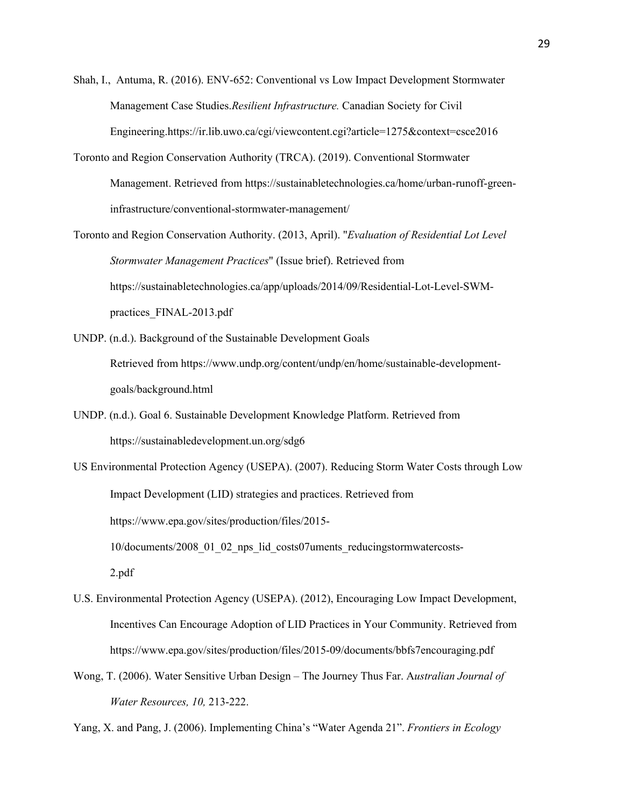Shah, I., Antuma, R. (2016). ENV-652: Conventional vs Low Impact Development Stormwater Management Case Studies.*Resilient Infrastructure.* Canadian Society for Civil Engineering.https://ir.lib.uwo.ca/cgi/viewcontent.cgi?article=1275&context=csce2016

- Toronto and Region Conservation Authority (TRCA). (2019). Conventional Stormwater Management. Retrieved from https://sustainabletechnologies.ca/home/urban-runoff-greeninfrastructure/conventional-stormwater-management/
- Toronto and Region Conservation Authority. (2013, April). "*Evaluation of Residential Lot Level Stormwater Management Practices*" (Issue brief). Retrieved from https://sustainabletechnologies.ca/app/uploads/2014/09/Residential-Lot-Level-SWMpractices\_FINAL-2013.pdf
- UNDP. (n.d.). Background of the Sustainable Development Goals Retrieved from https://www.undp.org/content/undp/en/home/sustainable-developmentgoals/background.html
- UNDP. (n.d.). Goal 6. Sustainable Development Knowledge Platform. Retrieved from https://sustainabledevelopment.un.org/sdg6

US Environmental Protection Agency (USEPA). (2007). Reducing Storm Water Costs through Low Impact Development (LID) strategies and practices. Retrieved from https://www.epa.gov/sites/production/files/2015- 10/documents/2008\_01\_02\_nps\_lid\_costs07uments\_reducingstormwatercosts-2.pdf

- U.S. Environmental Protection Agency (USEPA). (2012), Encouraging Low Impact Development, Incentives Can Encourage Adoption of LID Practices in Your Community. Retrieved from https://www.epa.gov/sites/production/files/2015-09/documents/bbfs7encouraging.pdf
- Wong, T. (2006). Water Sensitive Urban Design The Journey Thus Far. A*ustralian Journal of Water Resources, 10,* 213-222.

Yang, X. and Pang, J. (2006). Implementing China's "Water Agenda 21". *Frontiers in Ecology*